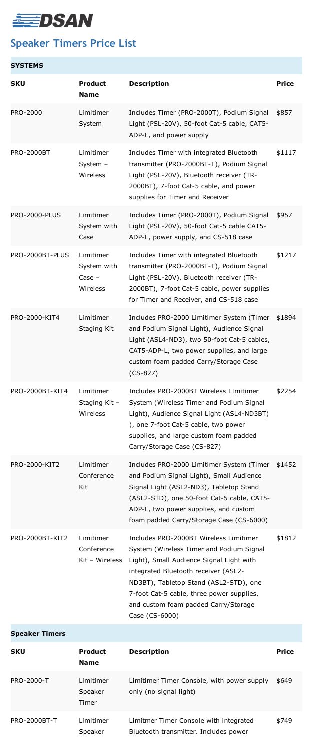

## **Speaker Timers Price List**

| <b>SYSTEMS</b>         |                                                  |                                                                                                                                                                                                                                                                                                                         |              |
|------------------------|--------------------------------------------------|-------------------------------------------------------------------------------------------------------------------------------------------------------------------------------------------------------------------------------------------------------------------------------------------------------------------------|--------------|
| <b>SKU</b>             | <b>Product</b><br><b>Name</b>                    | <b>Description</b>                                                                                                                                                                                                                                                                                                      | <b>Price</b> |
| <b>PRO-2000</b>        | Limitimer<br>System                              | Includes Timer (PRO-2000T), Podium Signal<br>Light (PSL-20V), 50-foot Cat-5 cable, CAT5-<br>ADP-L, and power supply                                                                                                                                                                                                     | \$857        |
| <b>PRO-2000BT</b>      | Limitimer<br>System $-$<br>Wireless              | Includes Timer with integrated Bluetooth<br>transmitter (PRO-2000BT-T), Podium Signal<br>Light (PSL-20V), Bluetooth receiver (TR-<br>2000BT), 7-foot Cat-5 cable, and power<br>supplies for Timer and Receiver                                                                                                          | \$1117       |
| <b>PRO-2000-PLUS</b>   | Limitimer<br>System with<br>Case                 | Includes Timer (PRO-2000T), Podium Signal<br>Light (PSL-20V), 50-foot Cat-5 cable CAT5-<br>ADP-L, power supply, and CS-518 case                                                                                                                                                                                         | \$957        |
| PRO-2000BT-PLUS        | Limitimer<br>System with<br>$Case -$<br>Wireless | Includes Timer with integrated Bluetooth<br>transmitter (PRO-2000BT-T), Podium Signal<br>Light (PSL-20V), Bluetooth receiver (TR-<br>2000BT), 7-foot Cat-5 cable, power supplies<br>for Timer and Receiver, and CS-518 case                                                                                             | \$1217       |
| PRO-2000-KIT4          | Limitimer<br>Staging Kit                         | Includes PRO-2000 Limitimer System (Timer<br>and Podium Signal Light), Audience Signal<br>Light (ASL4-ND3), two 50-foot Cat-5 cables,<br>CAT5-ADP-L, two power supplies, and large<br>custom foam padded Carry/Storage Case<br>$(CS-827)$                                                                               | \$1894       |
| <b>PRO-2000BT-KIT4</b> | Limitimer<br>Staging Kit -<br><b>Wireless</b>    | Includes PRO-2000BT Wireless LImitimer<br>System (Wireless Timer and Podium Signal<br>Light), Audience Signal Light (ASL4-ND3BT)<br>), one 7-foot Cat-5 cable, two power<br>supplies, and large custom foam padded<br>Carry/Storage Case (CS-827)                                                                       | \$2254       |
| <b>PRO-2000-KIT2</b>   | Limitimer<br>Conference<br>Kit                   | Includes PRO-2000 Limitimer System (Timer<br>and Podium Signal Light), Small Audience<br>Signal Light (ASL2-ND3), Tabletop Stand<br>(ASL2-STD), one 50-foot Cat-5 cable, CAT5-<br>ADP-L, two power supplies, and custom<br>foam padded Carry/Storage Case (CS-6000)                                                     | \$1452       |
| PRO-2000BT-KIT2        | Limitimer<br>Conference<br>$Kit - Wireless$      | Includes PRO-2000BT Wireless Limitimer<br>System (Wireless Timer and Podium Signal<br>Light), Small Audience Signal Light with<br>integrated Bluetooth receiver (ASL2-<br>ND3BT), Tabletop Stand (ASL2-STD), one<br>7-foot Cat-5 cable, three power supplies,<br>and custom foam padded Carry/Storage<br>Case (CS-6000) | \$1812       |
| <b>Speaker Timers</b>  |                                                  |                                                                                                                                                                                                                                                                                                                         |              |
| <b>SKU</b>             | <b>Product</b><br><b>Name</b>                    | <b>Description</b>                                                                                                                                                                                                                                                                                                      | <b>Price</b> |
| <b>PRO-2000-T</b>      | Limitimer<br>Speaker<br>Timer                    | Limitimer Timer Console, with power supply<br>only (no signal light)                                                                                                                                                                                                                                                    | \$649        |
| <b>PRO-2000BT-T</b>    | Limitimer<br>Speaker                             | Limitmer Timer Console with integrated<br>Bluetooth transmitter. Includes power                                                                                                                                                                                                                                         | \$749        |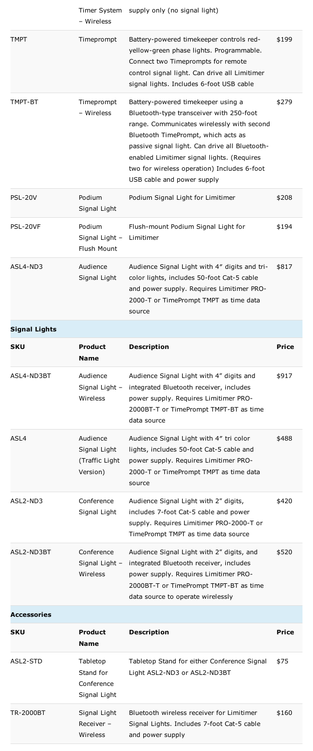|                      | - Wireless                                                 | Timer System supply only (no signal light)                                                                                                                                                                                                                                                                                                       |              |
|----------------------|------------------------------------------------------------|--------------------------------------------------------------------------------------------------------------------------------------------------------------------------------------------------------------------------------------------------------------------------------------------------------------------------------------------------|--------------|
| <b>TMPT</b>          | Timeprompt                                                 | Battery-powered timekeeper controls red-<br>yellow-green phase lights. Programmable.<br>Connect two Timeprompts for remote<br>control signal light. Can drive all Limitimer<br>signal lights. Includes 6-foot USB cable                                                                                                                          | \$199        |
| TMPT-BT              | Timeprompt<br>- Wireless                                   | Battery-powered timekeeper using a<br>Bluetooth-type transceiver with 250-foot<br>range. Communicates wirelessly with second<br>Bluetooth TimePrompt, which acts as<br>passive signal light. Can drive all Bluetooth-<br>enabled Limitimer signal lights. (Requires<br>two for wireless operation) Includes 6-foot<br>USB cable and power supply | \$279        |
| <b>PSL-20V</b>       | Podium<br>Signal Light                                     | Podium Signal Light for Limitimer                                                                                                                                                                                                                                                                                                                | \$208        |
| PSL-20VF             | Podium<br>Signal Light -<br><b>Flush Mount</b>             | Flush-mount Podium Signal Light for<br>Limitimer                                                                                                                                                                                                                                                                                                 | \$194        |
| ASL4-ND3             | Audience<br>Signal Light                                   | Audience Signal Light with 4" digits and tri-<br>color lights, includes 50-foot Cat-5 cable<br>and power supply. Requires Limitimer PRO-<br>2000-T or TimePrompt TMPT as time data<br>source                                                                                                                                                     | \$817        |
| <b>Signal Lights</b> |                                                            |                                                                                                                                                                                                                                                                                                                                                  |              |
| <b>SKU</b>           | <b>Product</b><br><b>Name</b>                              | <b>Description</b>                                                                                                                                                                                                                                                                                                                               | <b>Price</b> |
|                      |                                                            |                                                                                                                                                                                                                                                                                                                                                  |              |
| ASL4-ND3BT           | Audience<br>Signal Light -<br>Wireless                     | Audience Signal Light with 4" digits and<br>integrated Bluetooth receiver, includes<br>power supply. Requires Limitimer PRO-<br>2000BT-T or TimePrompt TMPT-BT as time<br>data source                                                                                                                                                            | \$917        |
| ASL4                 | Audience<br>Signal Light<br>(Traffic Light)<br>Version)    | Audience Signal Light with 4" tri color<br>lights, includes 50-foot Cat-5 cable and<br>power supply. Requires Limitimer PRO-<br>2000-T or TimePrompt TMPT as time data<br>source                                                                                                                                                                 | \$488        |
| ASL2-ND3             | Conference<br>Signal Light                                 | Audience Signal Light with 2" digits,<br>includes 7-foot Cat-5 cable and power<br>supply. Requires Limitimer PRO-2000-T or<br>TimePrompt TMPT as time data source                                                                                                                                                                                | \$420        |
| ASL2-ND3BT           | Conference<br>Signal Light -<br>Wireless                   | Audience Signal Light with 2" digits, and<br>integrated Bluetooth receiver, includes<br>power supply. Requires Limitimer PRO-<br>2000BT-T or TimePrompt TMPT-BT as time<br>data source to operate wirelessly                                                                                                                                     | \$520        |
| <b>Accessories</b>   |                                                            |                                                                                                                                                                                                                                                                                                                                                  |              |
| <b>SKU</b>           | <b>Product</b><br><b>Name</b>                              | <b>Description</b>                                                                                                                                                                                                                                                                                                                               | <b>Price</b> |
| ASL2-STD             | <b>Tabletop</b><br>Stand for<br>Conference<br>Signal Light | Tabletop Stand for either Conference Signal<br>Light ASL2-ND3 or ASL2-ND3BT                                                                                                                                                                                                                                                                      | \$75         |